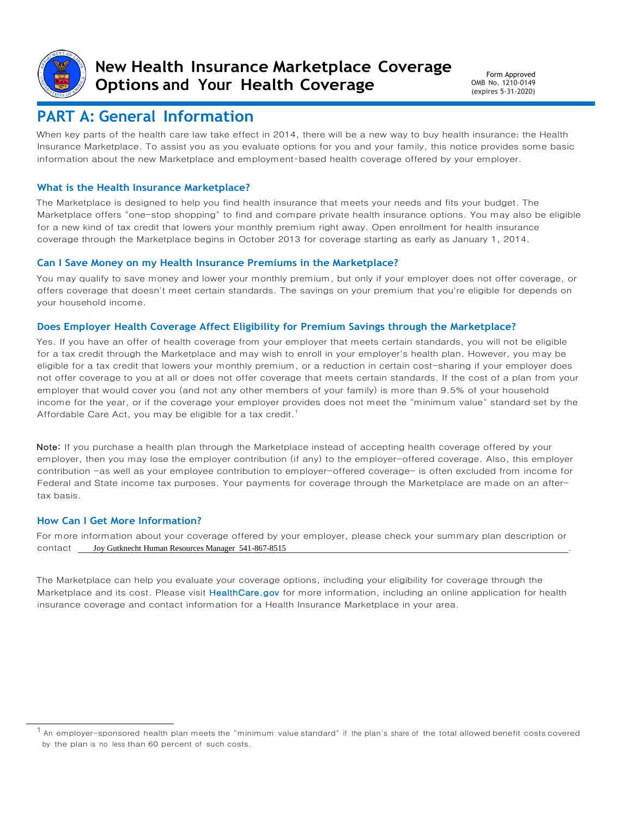

**New Health Insurance Marketplace Coverage Options and Your Health Coverage**

Form Approved OMB No. 1210-0149 (expires 5-31-2020)

## **PART A: General Information**

When key parts of the health care law take effect in 2014, there will be a new way to buy health insurance: the Health Insurance Marketplace. To assist you as you evaluate options for you and your family, this notice provides some basic information about the new Marketplace and employment-based health coverage offered by your employer.

### **What is the Health Insurance Marketplace?**

The Marketplace is designed to help you find health insurance that meets your needs and fits your budget. The Marketplace offers "one-stop shopping" to find and compare private health insurance options. You may also be eligible for a new kind of tax credit that lowers your monthly premium right away. Open enrollment for health insurance coverage through the Marketplace begins in October 2013 for coverage starting as early as January 1, 2014.

#### **Can I Save Money on my Health Insurance Premiums in the Marketplace?**

You may qualify to save money and lower your monthly premium, but only if your employer does not offer coverage, or offers coverage that doesn't meet certain standards. The savings on your premium that you're eligible for depends on your household income.

#### **Does Employer Health Coverage Affect Eligibility for Premium Savings through the Marketplace?**

Yes. If you have an offer of health coverage from your employer that meets certain standards, you will not be eligible for a tax credit through the Marketplace and may wish to enroll in your employer's health plan. However, you may be eligible for a tax credit that lowers your monthly premium, or a reduction in certain cost-sharing if your employer does not offer coverage to you at all or does not offer coverage that meets certain standards. If the cost of a plan from your employer that would cover you (and not any other members of your family) is more than 9.5% of your household income for the year, or if the coverage your employer provides does not meet the "minimum value" standard set by the Affordable Care Act, you may be eligible for a tax credit.<sup>1</sup>

Note: If you purchase a health plan through the Marketplace instead of accepting health coverage offered by your employer, then you may lose the employer contribution (if any) to the employer-offered coverage. Also, this employer contribution -as well as your employee contribution to employer-offered coverage- is often excluded from income for Federal and State income tax purposes. Your payments for coverage through the Marketplace are made on an aftertax basis.

#### **How Can I Get More Information?**

For more information about your coverage offered by your employer, please check your summary plan description or contact . Joy Gutknecht Human Resources Manager 541-867-8515

The Marketplace can help you evaluate your coverage options, including your eligibility for coverage through the Marketplace and its cost. Please visit [HealthCare.gov](http://www.healthcare.gov/) for more information, including an online application for health insurance coverage and contact information for a Health Insurance Marketplace in your area.

<sup>&</sup>lt;sup>1</sup> An employer-sponsored health plan meets the "minimum value standard" if the plan's share of the total allowed benefit costs covered by the plan is no less than 60 percent of such costs.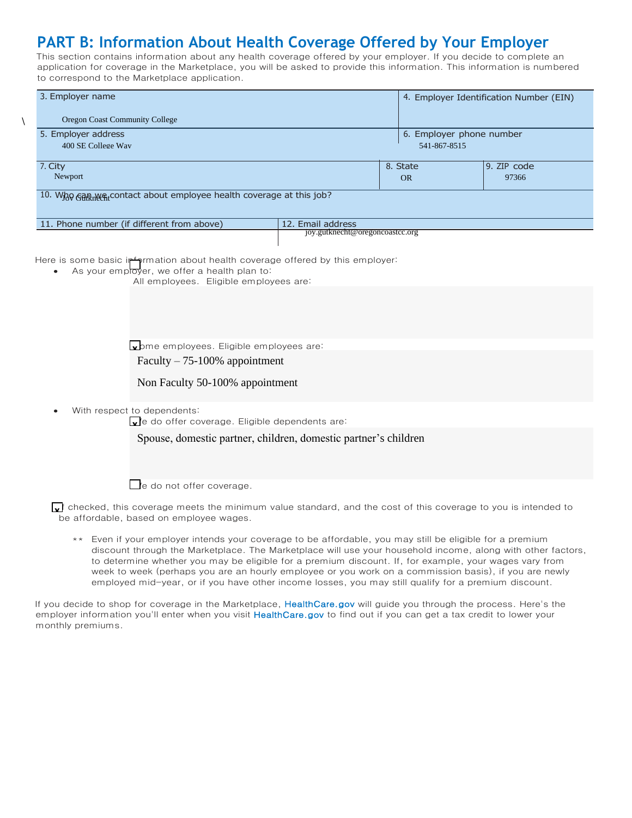# **PART B: Information About Health Coverage Offered by Your Employer**

 $\lambda$ 

This section contains information about any health coverage offered by your employer. If you decide to complete an application for coverage in the Marketplace, you will be asked to provide this information. This information is numbered to correspond to the Marketplace application.

| 3. Employer name                                                                                                                                                                                                                                                                          |                                 |              | 4. Employer Identification Number (EIN) |  |  |  |
|-------------------------------------------------------------------------------------------------------------------------------------------------------------------------------------------------------------------------------------------------------------------------------------------|---------------------------------|--------------|-----------------------------------------|--|--|--|
| Oregon Coast Community College                                                                                                                                                                                                                                                            |                                 |              |                                         |  |  |  |
| 5. Employer address                                                                                                                                                                                                                                                                       |                                 |              | 6. Employer phone number                |  |  |  |
| 400 SE College Way                                                                                                                                                                                                                                                                        |                                 | 541-867-8515 |                                         |  |  |  |
| 7. City                                                                                                                                                                                                                                                                                   |                                 | 8. State     | 9. ZIP code                             |  |  |  |
| Newport                                                                                                                                                                                                                                                                                   |                                 | <b>OR</b>    | 97366                                   |  |  |  |
| 10. Who Gam wa contact about employee health coverage at this job?                                                                                                                                                                                                                        |                                 |              |                                         |  |  |  |
| 11. Phone number (if different from above)                                                                                                                                                                                                                                                | 12. Email address               |              |                                         |  |  |  |
|                                                                                                                                                                                                                                                                                           | joy.gutknecht@oregoncoastcc.org |              |                                         |  |  |  |
| Here is some basic information about health coverage offered by this employer:<br>As your employer, we offer a health plan to:<br>All employees. Eligible employees are:<br>wome employees. Eligible employees are:<br>Faculty $-75-100\%$ appointment<br>Non Faculty 50-100% appointment |                                 |              |                                         |  |  |  |
| With respect to dependents:<br>e do offer coverage. Eligible dependents are:                                                                                                                                                                                                              |                                 |              |                                         |  |  |  |
| Spouse, domestic partner, children, domestic partner's children                                                                                                                                                                                                                           |                                 |              |                                         |  |  |  |
| $\blacksquare$ 'e do not offer coverage.                                                                                                                                                                                                                                                  |                                 |              |                                         |  |  |  |
| $\sqrt{ }$ checked, this coverage meets the minimum value standard, and the cost of this coverage to you is intended to<br>be affordable, based on employee wages.                                                                                                                        |                                 |              |                                         |  |  |  |

\*\* Even if your employer intends your coverage to be affordable, you may still be eligible for a premium discount through the Marketplace. The Marketplace will use your household income, along with other factors, to determine whether you may be eligible for a premium discount. If, for example, your wages vary from week to week (perhaps you are an hourly employee or you work on a commission basis), if you are newly employed mid-year, or if you have other income losses, you may still qualify for a premium discount.

If you decide to shop for coverage in the Marketplace, [HealthCare.gov](http://www.healthcare.gov/) will guide you through the process. Here's the employer information you'll enter when you visit [HealthCare.gov](http://www.healthcare.gov/) to find out if you can get a tax credit to lower your monthly premiums.